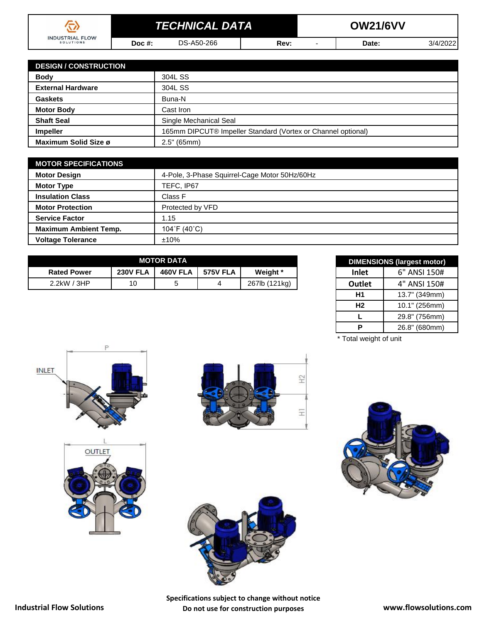|                                     | <b>TECHNICAL DATA</b> |            |      | <b>OW21/6VV</b> |       |           |  |  |
|-------------------------------------|-----------------------|------------|------|-----------------|-------|-----------|--|--|
| <b>INDUSTRIAL FLOW</b><br>SOLUTIONS | Doc #:                | DS-A50-266 | Rev: |                 | Date: | 3/4/20221 |  |  |

| <b>DESIGN / CONSTRUCTION</b> |                                                              |
|------------------------------|--------------------------------------------------------------|
| <b>Body</b>                  | 304L SS                                                      |
| <b>External Hardware</b>     | 304L SS                                                      |
| <b>Gaskets</b>               | Buna-N                                                       |
| <b>Motor Body</b>            | Cast Iron                                                    |
| <b>Shaft Seal</b>            | Single Mechanical Seal                                       |
| <b>Impeller</b>              | 165mm DIPCUT® Impeller Standard (Vortex or Channel optional) |
| Maximum Solid Size ø         | 2.5" (65mm)                                                  |

| <b>MOTOR SPECIFICATIONS</b>  |                                               |  |  |  |  |
|------------------------------|-----------------------------------------------|--|--|--|--|
| <b>Motor Design</b>          | 4-Pole, 3-Phase Squirrel-Cage Motor 50Hz/60Hz |  |  |  |  |
| <b>Motor Type</b>            | TEFC, IP67                                    |  |  |  |  |
| <b>Insulation Class</b>      | Class F                                       |  |  |  |  |
| <b>Motor Protection</b>      | Protected by VFD                              |  |  |  |  |
| <b>Service Factor</b>        | 1.15                                          |  |  |  |  |
| <b>Maximum Ambient Temp.</b> | 104°F (40°C)                                  |  |  |  |  |
| <b>Voltage Tolerance</b>     | ±10%                                          |  |  |  |  |

| <b>MOTOR DATA</b>  |                 |                 |                 |               | <b>DIMENSIONS (largest motor)</b> |              |
|--------------------|-----------------|-----------------|-----------------|---------------|-----------------------------------|--------------|
| <b>Rated Power</b> | <b>230V FLA</b> | <b>460V FLA</b> | <b>575V FLA</b> | Weight *      | Inlet                             | 6" ANSI 150# |
| 3HP<br>$2.2$ kW    | 10              |                 |                 | 267lb (121kg) | Outlet                            | 4" ANSI 150# |

| <b>DIMENSIONS (largest motor)</b> |               |  |  |  |
|-----------------------------------|---------------|--|--|--|
| <b>Inlet</b>                      | 6" ANSI 150#  |  |  |  |
| <b>Outlet</b>                     | 4" ANSI 150#  |  |  |  |
| Н1                                | 13.7" (349mm) |  |  |  |
| Н2                                | 10.1" (256mm) |  |  |  |
| L                                 | 29.8" (756mm) |  |  |  |
| Р                                 | 26.8" (680mm) |  |  |  |

\* Total weight of unit











**Specifications subject to change without notice Do not use for construction purposes www.flowsolutions.com**